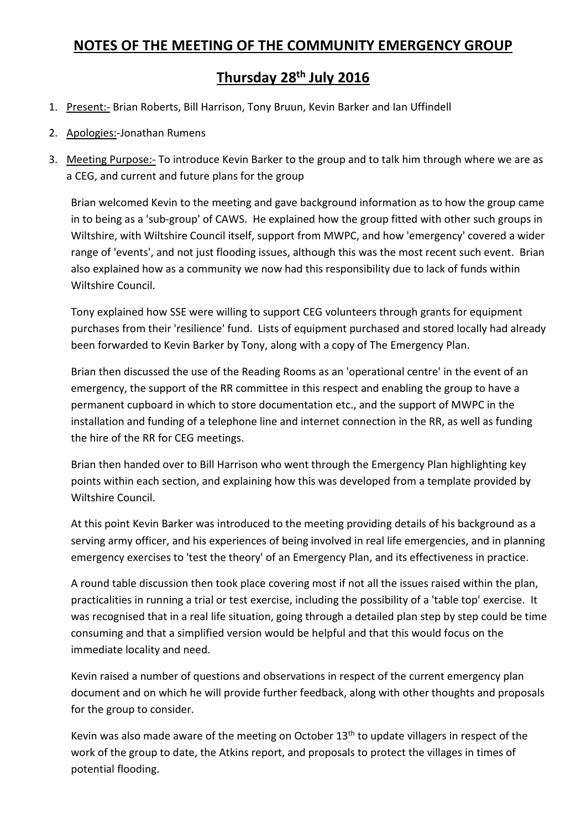## **NOTES OF THE MEETING OF THE COMMUNITY EMERGENCY GROUP**

## **Thursday 28th July 2016**

- 1. Present:- Brian Roberts, Bill Harrison, Tony Bruun, Kevin Barker and Ian Uffindell
- 2. Apologies:-Jonathan Rumens
- 3. Meeting Purpose:- To introduce Kevin Barker to the group and to talk him through where we are as a CEG, and current and future plans for the group

Brian welcomed Kevin to the meeting and gave background information as to how the group came in to being as a 'sub-group' of CAWS. He explained how the group fitted with other such groups in Wiltshire, with Wiltshire Council itself, support from MWPC, and how 'emergency' covered a wider range of 'events', and not just flooding issues, although this was the most recent such event. Brian also explained how as a community we now had this responsibility due to lack of funds within Wiltshire Council.

Tony explained how SSE were willing to support CEG volunteers through grants for equipment purchases from their 'resilience' fund. Lists of equipment purchased and stored locally had already been forwarded to Kevin Barker by Tony, along with a copy of The Emergency Plan.

Brian then discussed the use of the Reading Rooms as an 'operational centre' in the event of an emergency, the support of the RR committee in this respect and enabling the group to have a permanent cupboard in which to store documentation etc., and the support of MWPC in the installation and funding of a telephone line and internet connection in the RR, as well as funding the hire of the RR for CEG meetings.

Brian then handed over to Bill Harrison who went through the Emergency Plan highlighting key points within each section, and explaining how this was developed from a template provided by Wiltshire Council.

At this point Kevin Barker was introduced to the meeting providing details of his background as a serving army officer, and his experiences of being involved in real life emergencies, and in planning emergency exercises to 'test the theory' of an Emergency Plan, and its effectiveness in practice.

A round table discussion then took place covering most if not all the issues raised within the plan, practicalities in running a trial or test exercise, including the possibility of a 'table top' exercise. It was recognised that in a real life situation, going through a detailed plan step by step could be time consuming and that a simplified version would be helpful and that this would focus on the immediate locality and need.

Kevin raised a number of questions and observations in respect of the current emergency plan document and on which he will provide further feedback, along with other thoughts and proposals for the group to consider.

Kevin was also made aware of the meeting on October  $13<sup>th</sup>$  to update villagers in respect of the work of the group to date, the Atkins report, and proposals to protect the villages in times of potential flooding.